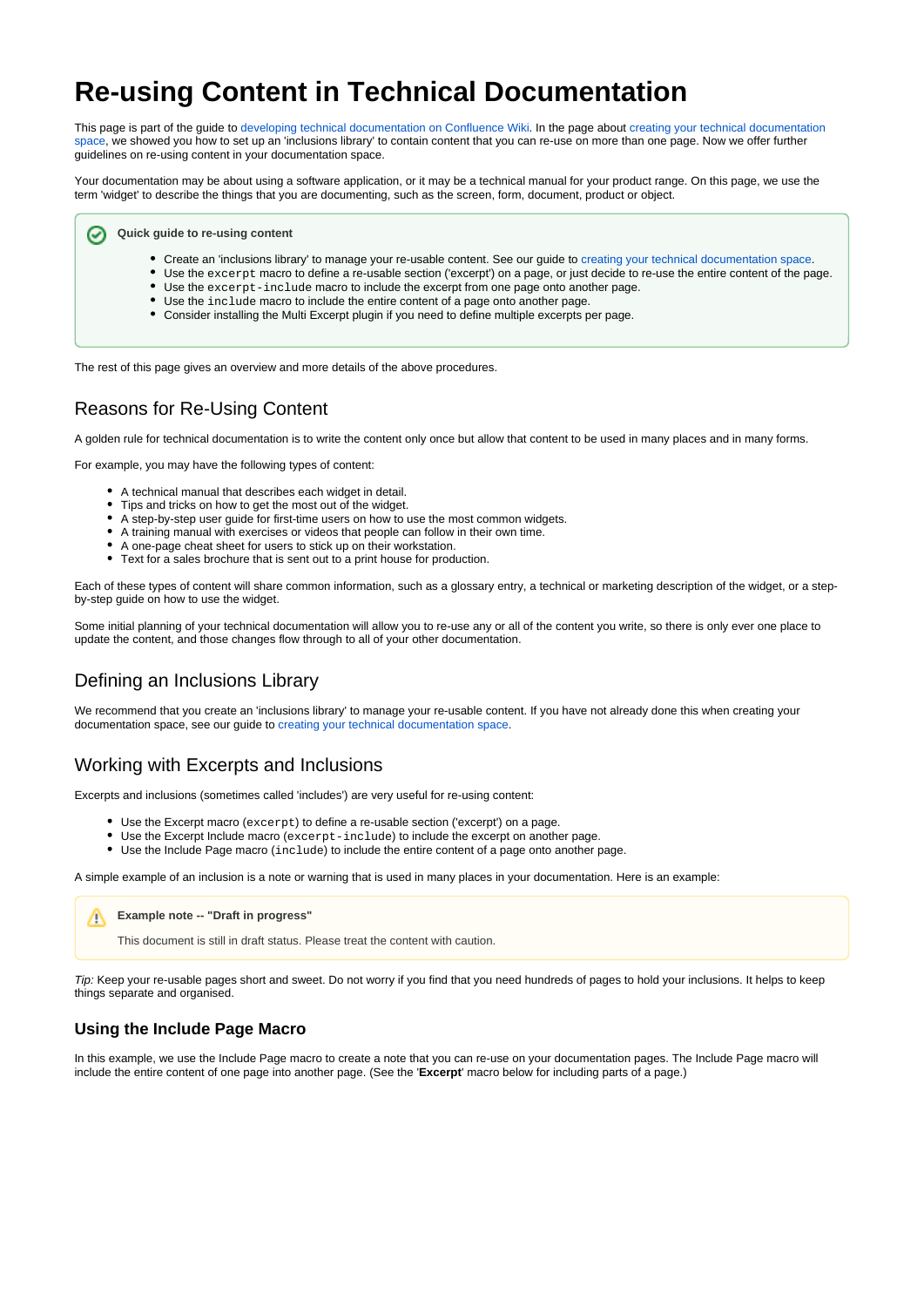# **Re-using Content in Technical Documentation**

This page is part of the guide to [developing technical documentation on Confluence Wiki](https://wikis.nyu.edu/display/DOC/Developing+Technical+Documentation+on+Confluence+Wiki). In the page about creating your technical documentation [space](https://wikis.nyu.edu/display/DOC/Creating+your+Technical+Documentation+Space), we showed you how to set up an 'inclusions library' to contain content that you can re-use on more than one page. Now we offer further guidelines on re-using content in your documentation space.

Your documentation may be about using a software application, or it may be a technical manual for your product range. On this page, we use the term 'widget' to describe the things that you are documenting, such as the screen, form, document, product or object.

**Quick guide to re-using content** ∞

- Create an 'inclusions library' to manage your re-usable content. See our guide to [creating your technical documentation space](https://wikis.nyu.edu/display/DOC/Creating+your+Technical+Documentation+Space#CreatingyourTechnicalDocumentationSpace-inclusions).
- Use the excerpt macro to define a re-usable section ('excerpt') on a page, or just decide to re-use the entire content of the page. Use the excerpt-include macro to include the excerpt from one page onto another page.
- Use the include macro to include the entire content of a page onto another page.
- Consider installing the Multi Excerpt plugin if you need to define multiple excerpts per page.

The rest of this page gives an overview and more details of the above procedures.

# Reasons for Re-Using Content

A golden rule for technical documentation is to write the content only once but allow that content to be used in many places and in many forms.

For example, you may have the following types of content:

- A technical manual that describes each widget in detail.
- Tips and tricks on how to get the most out of the widget.
- $\bullet$ A step-by-step user guide for first-time users on how to use the most common widgets.
- A training manual with exercises or videos that people can follow in their own time.
- A one-page cheat sheet for users to stick up on their workstation.
- Text for a sales brochure that is sent out to a print house for production.

Each of these types of content will share common information, such as a glossary entry, a technical or marketing description of the widget, or a stepby-step guide on how to use the widget.

Some initial planning of your technical documentation will allow you to re-use any or all of the content you write, so there is only ever one place to update the content, and those changes flow through to all of your other documentation.

# Defining an Inclusions Library

We recommend that you create an 'inclusions library' to manage your re-usable content. If you have not already done this when creating your documentation space, see our guide to [creating your technical documentation space.](https://wikis.nyu.edu/display/DOC/Creating+your+Technical+Documentation+Space#CreatingyourTechnicalDocumentationSpace-inclusions)

# Working with Excerpts and Inclusions

Excerpts and inclusions (sometimes called 'includes') are very useful for re-using content:

- Use the Excerpt macro (excerpt) to define a re-usable section ('excerpt') on a page.
- Use the Excerpt Include macro (excerpt-include) to include the excerpt on another page.
- Use the Include Page macro (include) to include the entire content of a page onto another page.

A simple example of an inclusion is a note or warning that is used in many places in your documentation. Here is an example:

**Example note -- "Draft in progress"** Λ

This document is still in draft status. Please treat the content with caution.

Tip: Keep your re-usable pages short and sweet. Do not worry if you find that you need hundreds of pages to hold your inclusions. It helps to keep things separate and organised.

#### **Using the Include Page Macro**

In this example, we use the Include Page macro to create a note that you can re-use on your documentation pages. The Include Page macro will include the entire content of one page into another page. (See the '**Excerpt**' macro below for including parts of a page.)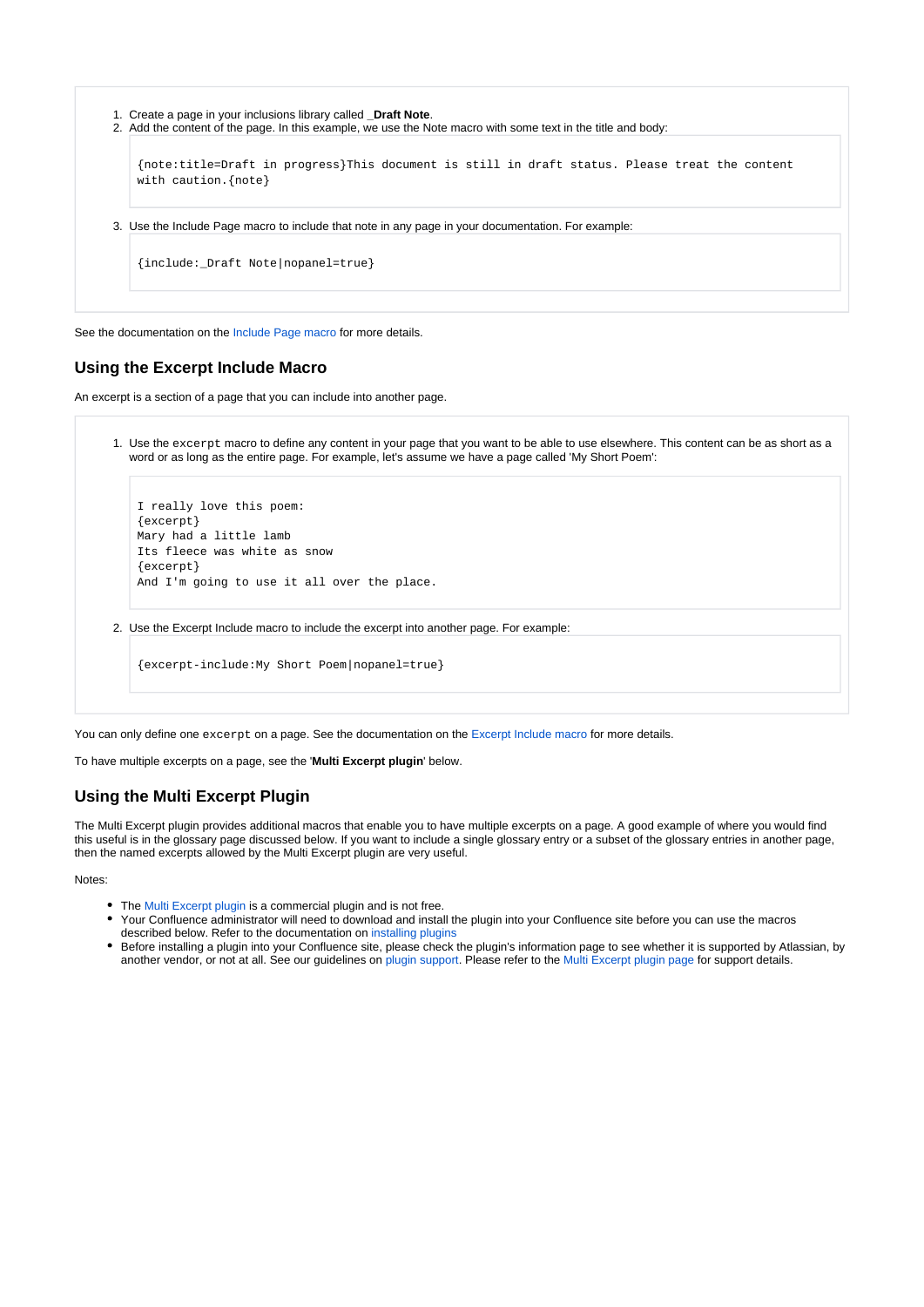```
1. 
Create a page in your inclusions library called _Draft Note.
2. 
Add the content of the page. In this example, we use the Note macro with some text in the title and body:
3. 
Use the Include Page macro to include that note in any page in your documentation. For example:
    {note:title=Draft in progress}This document is still in draft status. Please treat the content 
   with caution.{note}
    {include:_Draft Note|nopanel=true}
```
See the documentation on the [Include Page macro](https://wikis.nyu.edu/display/DOC/Include+Page+Macro) for more details.

#### **Using the Excerpt Include Macro**

An excerpt is a section of a page that you can include into another page.

1. Use the excerpt macro to define any content in your page that you want to be able to use elsewhere. This content can be as short as a word or as long as the entire page. For example, let's assume we have a page called 'My Short Poem':

```
I really love this poem:
{excerpt}
Mary had a little lamb
Its fleece was white as snow
{excerpt}
And I'm going to use it all over the place.
```
2. Use the Excerpt Include macro to include the excerpt into another page. For example:

```
{excerpt-include:My Short Poem|nopanel=true}
```
You can only define one excerpt on a page. See the documentation on the [Excerpt Include macro](https://wikis.nyu.edu/display/DOC/Excerpt+Include+Macro) for more details.

To have multiple excerpts on a page, see the '**Multi Excerpt plugin**' below.

#### **Using the Multi Excerpt Plugin**

The Multi Excerpt plugin provides additional macros that enable you to have multiple excerpts on a page. A good example of where you would find this useful is in the glossary page discussed below. If you want to include a single glossary entry or a subset of the glossary entries in another page, then the named excerpts allowed by the Multi Excerpt plugin are very useful.

Notes:

- The [Multi Excerpt plugin](https://plugins.atlassian.com/plugin/details/169) is a commercial plugin and is not free.
- Your Confluence administrator will need to download and install the plugin into your Confluence site before you can use the macros described below. Refer to the documentation on [installing plugins](https://wikis.nyu.edu/pages/viewpage.action?pageId=20582723)
- Before installing a plugin into your Confluence site, please check the plugin's information page to see whether it is supported by Atlassian, by another vendor, or not at all. See our guidelines on plugin support. Please refer to the [Multi Excerpt plugin page](https://plugins.atlassian.com/plugin/details/169) for support details.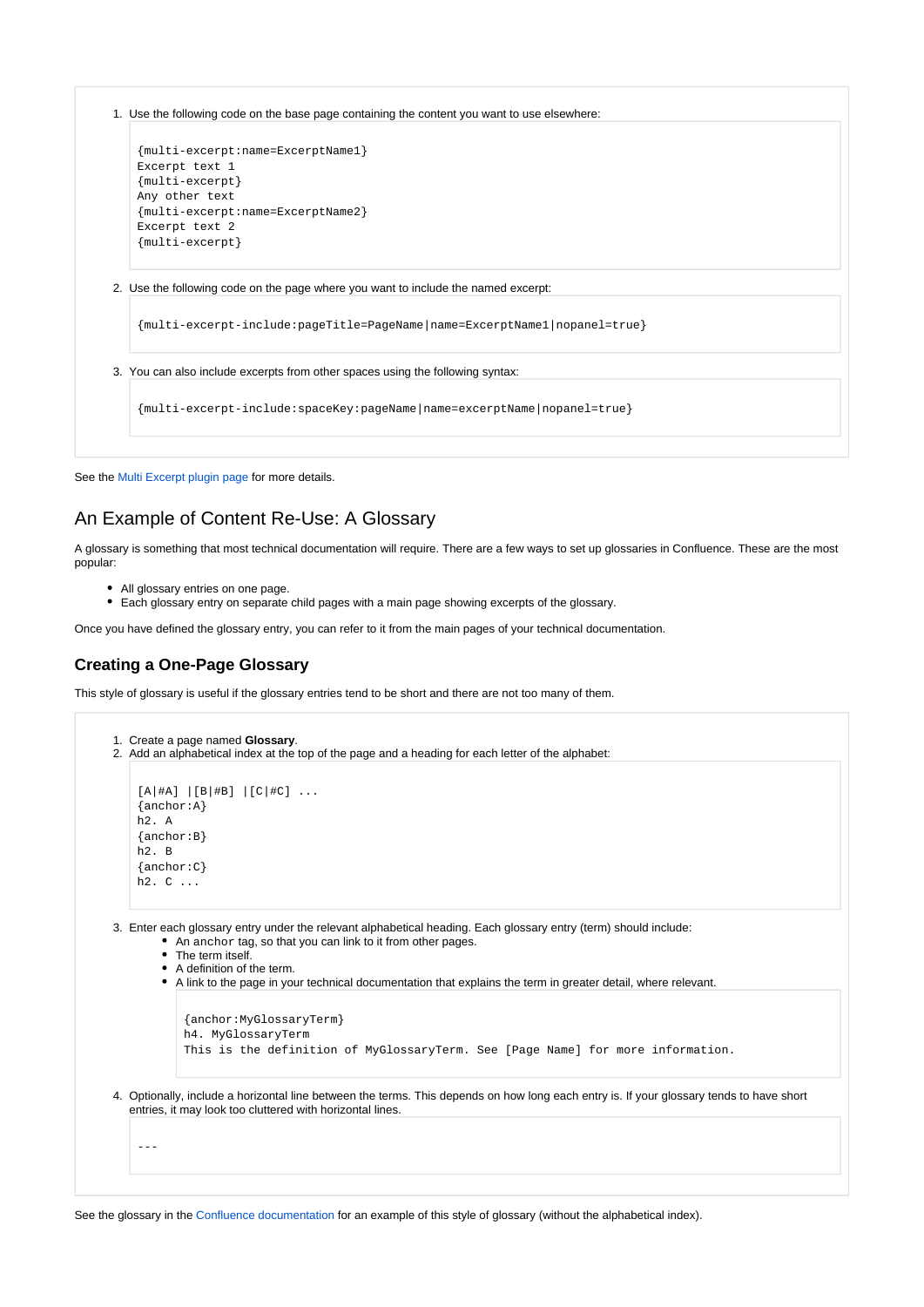1. Use the following code on the base page containing the content you want to use elsewhere:

```
{multi-excerpt:name=ExcerptName1}
Excerpt text 1
{multi-excerpt}
Any other text
{multi-excerpt:name=ExcerptName2}
Excerpt text 2
{multi-excerpt}
```
2. Use the following code on the page where you want to include the named excerpt:

{multi-excerpt-include:pageTitle=PageName|name=ExcerptName1|nopanel=true}

```
3. 
You can also include excerpts from other spaces using the following syntax:
```
{multi-excerpt-include:spaceKey:pageName|name=excerptName|nopanel=true}

See the [Multi Excerpt plugin page](https://plugins.atlassian.com/plugin/details/169) for more details.

## An Example of Content Re-Use: A Glossary

A glossary is something that most technical documentation will require. There are a few ways to set up glossaries in Confluence. These are the most popular:

- All glossary entries on one page.
- Each glossary entry on separate child pages with a main page showing excerpts of the glossary.

Once you have defined the glossary entry, you can refer to it from the main pages of your technical documentation.

#### **Creating a One-Page Glossary**

This style of glossary is useful if the glossary entries tend to be short and there are not too many of them.

```
1. 
Create a page named Glossary.
2. 
Add an alphabetical index at the top of the page and a heading for each letter of the alphabet:
3. 
Enter each glossary entry under the relevant alphabetical heading. Each glossary entry (term) should include:
4. 
Optionally, include a horizontal line between the terms. This depends on how long each entry is. If your glossary tends to have short 
    [A|#A] | [B|#B] | [C|#C] ...
    {anchor:A}
   h2. A
    {anchor:B}
   h2. B
   {anchor:C}
   h2. C ...
        • An anchor tag, so that you can link to it from other pages.
        • The term itself.
        A definition of the term.
        A link to the page in your technical documentation that explains the term in greater detail, where relevant.
            {anchor:MyGlossaryTerm}
            h4. MyGlossaryTerm
            This is the definition of MyGlossaryTerm. See [Page Name] for more information.
  entries, it may look too cluttered with horizontal lines.
    ---
```
See the glossary in the Confluence documentation for an example of this style of glossary (without the alphabetical index).